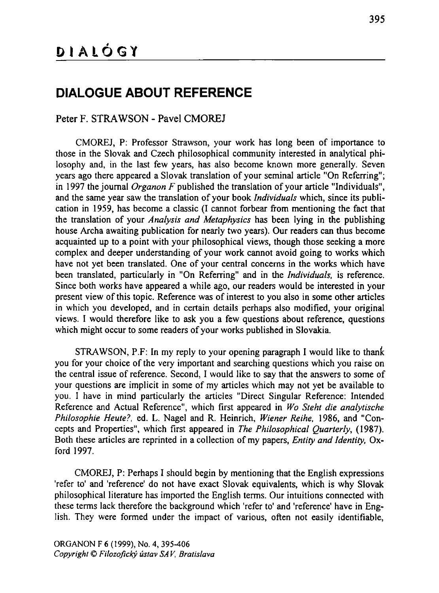## **DIALOGUE ABOUT REFERENCE**

## Peter F. STRAWSON - Pavel CMOREJ

**CMOREJ, P: Professor Strawson, your work has long been of importance to those in the Slovak and Czech philosophical community interested in analytical philosophy and, in the last few years, has also become known more generally. Seven years ago there appeared a Slovak translation o f your seminal article "On Referring"; in 1997 the journal** *Organon F* **published the translation of your article "Individuals", and the same year saw the translation o f your book** *Individuals* **which, since its publication in 1959, has become a classic (I cannot forbear from mentioning the fact that the translation of your** *Analysis and Metaphysics* **has been lying in the publishing house Archa awaiting publication for nearly two years). Our readers can thus become acquainted up to a point with your philosophical views, though those seeking a more** complex and deeper understanding of your work cannot avoid going to works which **have not yet been translated. One o f your central concerns in the works which have been translated, particularly in "On Referring" and in the** *Individuals,* **is reference. Since both works have appeared a while ago, our readers would be interested in your present** view of this topic. Reference was of interest to you also in some other articles **in which you developed, and in certain details perhaps also modified, your original views. I would therefore like to ask you a few questions about reference, questions which might occur to some readers of your works published in Slovakia.**

**STRAWSON, P.F: In my reply to your opening paragraph I would like to thank you for your choice of the very important and searching questions which you raise on the central issue of reference. Second, I would like to say that the answers to some of your questions are implicit in some of my articles which may not yet be available to you. I have in mind particularly the articles "Direct Singular Reference: Intended Reference and Actual Reference", which first appeared in** *Wo Steht die analytische Philosophie Heute?,* **ed. L. Nagel and R. Heinrich,** *Wiener Reihe,* **1986, and "Concepts and Properties", which first appeared in** *The Philosophical Quarterly,* **(1987).** Both these articles are reprinted in a collection of my papers, *Entity and Identity*, Ox**ford 1997.**

**CMOREJ, P: Perhaps I should begin by mentioning that the English expressions 'refer to' and 'reference' do not have exact Slovak equivalents, which is why Slovak philosophical literature has imported the English terms. Our intuitions connected with these terms lack therefore the background which 'refer to' and 'reference' have in English. They were formed under the impact of various, often not easily identifiable,**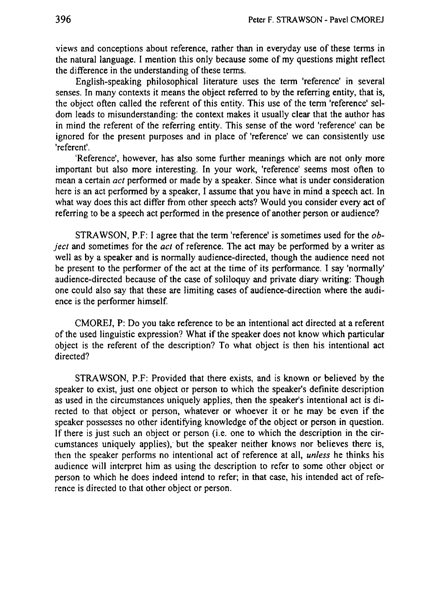**views and conceptions about reference, rather than in everyday use o f these terms in the natural language. I mention this only because some o f m y questions might reflect the difference in the understandingo f these terms.**

**English-speaking philosophical literature uses the term 'reference' in several senses. In many contexts it means the object referred to by the referring entity, that is, the object often called** the referent of this entity. This use of the term 'reference' sel**dom leads to misunderstanding: the context makes it usually clear that the author has**  $\frac{1}{2}$  **in**  $\frac{1}{2}$  **h**  $\frac{1}{2}$  **for** *the* **referring entity**. This sense of the word 'reference' can be **ignored for the present purposes and in place o f 'reference' w e can consistently use 'referent'.** 

**'Reference', however, has also some further meanings which are not only more important but also more interesting. In your work, 'reference' seems most often to mean a certain** *act* **performed or made by a speaker. Since what is under consideration here is an act performed by a speaker, I assume that you have in mind a speech act. In what way does this act differ from other speech acts? Would you consider every act o f referring to b e a speech act performed in the presence o f another person or audience?**

**STRAWSON, P.F: I agree that the term 'reference' is sometimes used for the** *object* **and sometimes for the** *act* **o f reference. The act may b e performed by a writer as well as by a speaker and is normally audience-directed, though the audience need not be** present to the performer of the act at the time of its performance. I say 'normally' audience-directed because of the case of soliloquy and private diary writing: Though **one could also say that these are limiting cases o f audience-direction where the audience is the performer himself.**

**CMOREJ, P: D o you take reference to be an intentional act directed at a referent o f the used linguistic expression? What if the speaker does not know which particular object** is the referent of the description? To what object is then his intentional act **directed?** 

**STRAWSON, P.F: Provided that there exists, and is known or believed by the speaker to exist, just one object or person t o which the speaker's definite description as used in the circumstances uniquely applies, then the speaker's intentional act is directed to that object or person, whatever or whoever it or he may b e even i f the speaker possesses n o other identifying knowledge o f the object or person in question. If there is just such an object or person (i.e. one to which the description in the circumstances uniquely applies), but the speaker neither knows nor believes there is, then** the speaker performs no intentional act of reference at all, *unless* he thinks his **audience will interpret him as using the description to refer to some other object or he heat he** *n* **indeed intend to refer; in that case**, **his intended act of reference is directed to that other object or person.**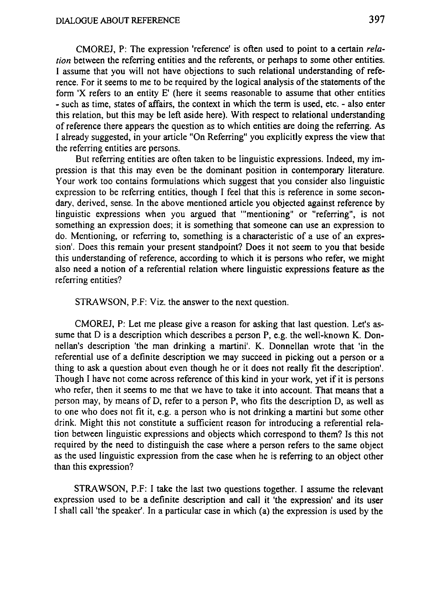**CMOREJ, P: The expression 'reference' is often used to point t o a certain** *relation* **between the referring entities and the referents, or perhaps t o some other entities.** I assume that you will not have objections to such relational understanding of refe**rence. For it seems to m e to be required by the logical analysiso f the statementso f the form 'X refers to an entity E' (here it seems reasonable to assume that other entities** - such as time, states of affairs, the context in which the term is used, etc. - also enter **this relation, but this may be left aside here). With respect to relational understanding o f reference there appears the question as to which entities are doing the referring. A s I already suggested, in your article "On Referring" you explicitly express the view that the referring entities are persons.**

But referring entities are often taken to be linguistic expressions. Indeed, my im**pression is that this may even be the dominant position in contemporary literature. Your work too contains formulations which suggest that you consider also linguistic expression to be referring entities, though I feel that this is reference in some secondary, derived, sense. In the above mentioned article you objected against reference by linguistic expressions when you argued that '"mentioning" or "referring", is not something an expression does; it is something that someone can use an expression to** do. Mentioning, or referring to, something is a characteristic of a use of an expres**sion<sup>1</sup> . Does this remain your present standpoint? Does it not seem to you that beside this understanding of reference, according to which it is persons who refer, we might also need a notion o f a referential relation where linguistic expressions feature as the referring entities?**

**STRAWSON, P.F: Viz. the answer to the next question.**

**CMOREJ, P:** Let me please give a reason for asking that last question. Let's as**sume that D is a description which describes a person P, e.g. the well-known K. Donnellan's description 'the man drinking a martini'. K. Donnellan wrote that 'in the referential use** of a definite description we may succeed in picking out a person or a **thing to ask a question about even though he or it does not really fit the description'. Though I have not come across reference o f this kind in your work, yet i f it is persons who refer, then it seems to m e that w e have to take it into account. That means that a person may**, by **means** of D, **refer** to a **person** P, who fits the description D, as well as **to one who does not fit it, e.g. a person who is not drinking a martini but some other drink. Might this not constitute a sufficient reason for introducing a referential relation between linguistic expressions and objects which correspond to them? Is this not required by the need to distinguish the case where a person refers to the same object as the used linguistic expression from the case when he is referring to an object other than this expression?**

**STRAWSON, P.F: I take the last two questions together. I assume the relevant expression used to be a definite description and call it 'the expression' and its user I shall call 'the speaker'. In a particular case in which (a) the expression is used by the**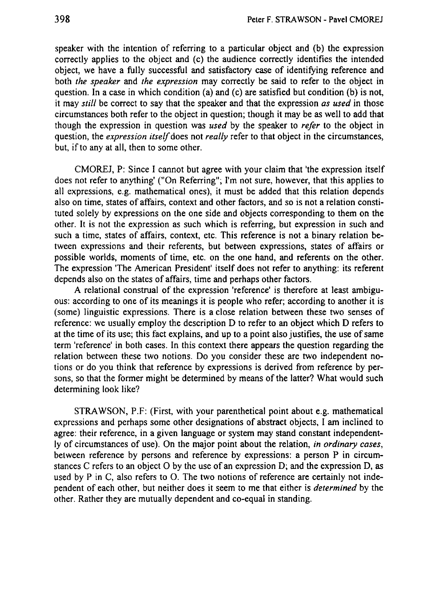**speaker with the intention of referring to a particular object and (b) the expression correctly applies to the object and (c) the audience correctly identifies the intended object, w e have a fully successful and satisfactory case o f identifying reference and both** *the speaker* **and** *the expression* **may correctly be said to refer to the object in question. In a case in which condition (a) and (c) are satisfied but condition (b) is not, it may** *still* **be correct to say that the speaker and that the expression** *as used* **in those circumstances both refer to the object in question; though it may be as well to add that though the expression in question was** *used* **by the speaker to** *refer* **to the object in question, the** *expression itself* **does not** *really* **refer to that object in the circumstances, but, if to any at all, then to some other.**

**CMOREJ, P: Since 1 cannot but agree with your claim that 'the expression itself does not refer to anything' ("On Referring"; I'm not sure, however, that this applies to all expressions, e.g. mathematical ones), it must be added that this relation depends also on time, states o f affairs, context and other factors, and so is not a relation constituted solely by expressions on the one side and objects corresponding to them on the other. It is not the expression as such which is referring, but expression in such and such a time, states of affairs, context, etc. This reference is not a binary relation between expressions and their referents, but between expressions, states of affairs or possible** worlds, moments of time, etc. on the one hand, and referents on the other. **The expression 'The American President' itself does not refer to anything: its referent depends also on the states o f affairs, time and perhaps other factors.**

**A relational construal of the expression 'reference' is therefore at least ambiguous: according to one of its meanings it is people who refer; according to another it is (some) linguistic expressions. There is a close relation between these two senses o f reference: we usually employ the description D to refer to an object which D refers to** at the time of its use; this fact explains, and up to a point also justifies, the use of same **term 'reference' in both cases. In this context there appears the question regarding the**  *relation* between these two notions. Do you consider these are two independent no**tions or do you think that reference by expressions is derived from reference by persons, so that the former might be determined by means o f the latter? What would such determining look like?**

**STRAWSON, P.F: (First, with your parenthetical point about e.g. mathematical expressions and perhaps some other designations of abstract objects, I am inclined to agree: their reference, in a given language or system may stand constant independently of circumstances of use). On the major point about the relation,** *in ordinary cases,* **between reference by persons and reference by expressions: a person P in circumstances C refers to an object O by the use o f an expression D; and the expression D, as used by P in C, also refers to O. The two notions of reference are certainly not independent of each other, but neither does it seem to me that either is** *determined* **by the other. Rather they are mutually dependent and co-equal in standing.**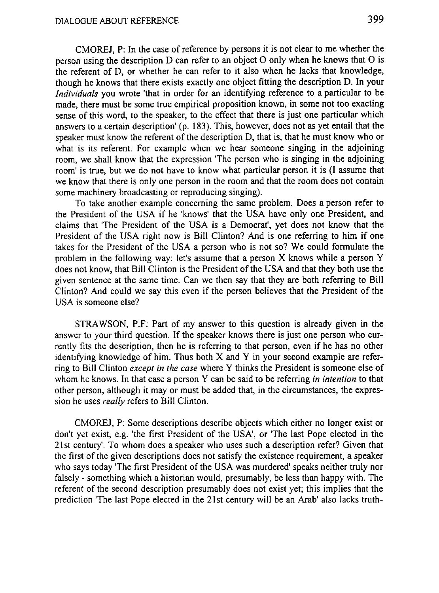**CMOREJ, P: In the case of reference by persons it is not clear to me whether the person using the description D can refer to an object O only when he knows that O is the referent of D, or whether he can refer to it also when he lacks that knowledge, though he knows that there exists exactly one object fitting the description D. In your** *Individuals* **you wrote 'that in order for an identifying reference to a particular to be made, there must be some true empirical proposition known, in some not too exacting sense of this word, to the speaker, to the effect that there is just one particular which answers to a certain description' (p. 183). This, however, does not as yet entail that the speaker must know the referent of the description D, that is, that he must know who or what is its referent. For example when we hear someone singing in the adjoining room, we shall know that the expression 'The person who is singing in the adjoining room' is true, but w e do not have to know what particular person it is (I assume that we know that there is only one person in the room and that the room does not contain some machinery broadcasting or reproducing singing).**

**To take another example concerning the same problem. Does a person refer to the President of the USA if he 'knows' that the USA have only one President, and claims that 'The President of the USA is a Democrat', yet does not know that the President of the USA right now is Bill Clinton? And is one referring to him if one takes for the President of the USA a person who is not so? We could formulate the problem in the following way: let's assume that a person X knows while a person Y does not know, that Bill Clinton is the President o f the USA and that they both use the given sentence at the same time. Can we then say that they are both referring to Bill Clinton? And could we say this even if the person believes that the President o f the USA is someone else?**

**STRAWSON, P.F: Part of my answer to this question is already given in the answer to your third question. If the speaker knows there is just one person who currently fits the description, then he is referring to that person, even if he has no other identifying knowledge of him. Thus both X and Y in your second example are referring to Bill Clinton** *except in the case* **where Y thinks the President is someone else o f whom he knows. In that case a person Y can be said to be referring** *in intention* **to that other person, although it may or must be added that, in the circumstances, the expression he uses** *really* **refers to Bill Clinton.**

**CMOREJ, P: Some descriptions describe objects which either no longer exist or don't yet exist, e.g. 'the first President of the USA', or 'The last Pope elected in the 21st century'. To whom does a speaker who uses such a description refer? Given that the first of the given descriptions does not satisfy the existence requirement, a speaker who says today 'The first President of the USA was murdered' speaks neither truly nor falsely - something which a historian would, presumably, be less than happy with. The referent of the second description presumably does not exist yet; this implies that the prediction 'The last Pope elected in the 21st century will be an Arab' also lacks truth-**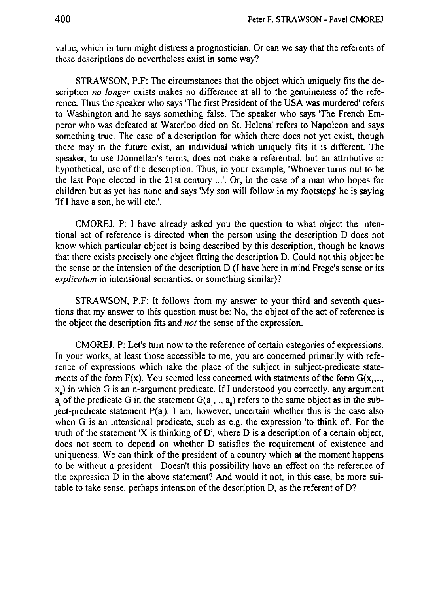**value, which in turn might distress a prognostician. Or can w e say that the referents o f these** descriptions do nevertheless exist in some way?

**STRAWSON, P.F: The circumstances that the object which uniquely fits the description** *no longer* exists makes no difference at all to the genuineness of the refe**rence. Thus the speaker who says 'The first President o f the USA was murdered' refers to Washington and he says something false. The speaker who says 'The French Emperor who was defeated at Waterloo died o n St. Helena' refers t o Napoleon and says something true. The case o f a description for which there does not yet exist, though there may in the future exist, an individual which uniquely fits it is different. The speaker, to use Donnellan's terms, does not make a referential, but an attributive or hypothetical, use o f the description. Thus, in your example, 'Whoever turns out to b e the last Pope elected in the 21st century ...'. Or, in the case o f a man who hopes for children but as yet has none and says 'My son will follow in my footsteps' he is saying** 'If I have a son, he will etc.'.

**CMOREJ, P:** I have already asked you the question to what object the inten**tional act o f reference is directed when the person using the description D does not know which particular object is being described by this description, though he knows that there exists precisely one object fitting the description D. Could not this object be the sense or the intension o f the description D (I have here in mind Frege's sense or its** *explicatum* **in intensional semantics, or something similar)?**

**STRAWSON, P.F:** It follows from my answer to your third and seventh ques**tions that m y answer to this question must be: No, the object o f the act o f reference is the object the description fits and** *not* **the sense o f the expression.**

**CMOREJ, P:** Let's **turn** now to the reference of certain categories of expressions. **In your works, at least those accessible to me, you are concerned primarily with reference** of expressions which take the place of the subject in subject-predicate state**ments** of the form  $F(x)$ . You seemed less concerned with statments of the form  $G(x_1, ..., x_n)$ **xn) in which G is an n-argument predicate. If I understood you correctly, any argument**  $a_i$  of the predicate G in the statement  $G(a_1, a_2)$  refers to the same object as in the sub**ject-predicate statement P^). I am, however, uncertain whether this is the case also when G is an intensional predicate, such as e.g. the expression 'to think of. For the** truth of the statement 'X is thinking of  $D'$ , where D is a description of a certain objet **does** not seem to depend on whether D satisfies the requirement of existence and **uniqueness.** We can think of the president of a country which at the moment happens **to** be without a president. Doesn't this possibility have an effect on the reference of **the expression D in the above statement? And would it not, in this case, b e more suitable** to take sense, perhaps intension of the description D, as the referent of D?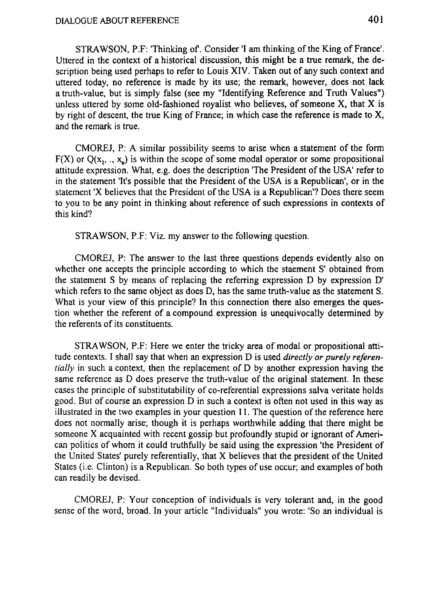**STRAWSON, P.F: 'Thinking of. Consider 'I am thinking of the King o f France<sup>1</sup> . Uttered in the context of a historical discussion, this might be a true remark, the description being used perhaps to refer to Louis XIV. Taken out of any such context and uttered today, no reference is made by its use; the remark, however, does not lack a truth-value, but is simply false (see my "Identifying Reference and Truth Values") unless uttered by some old-fashioned royalist who believes, o f someone X, that X is by right of descent, the true King of France; in which case the reference is made to X, and the remark is true.**

**CMOREJ, P: A similar possibility seems to arise when a statement of the form**  $F(X)$  or  $Q(x_1, \ldots, x_n)$  is within the scope of some modal operator or some propositional **attitude expression. What, e.g. does the description 'The President of the USA<sup>1</sup> refer to in the statement 'It's possible that the President o f the USA is a Republican', or in the statement 'X believes that the President of the USA is a Republican'? Does there seem to you to be any point in thinking about reference of such expressions in contexts of this kind?**

**STRAWSON, P.F: Viz. my answer to the following question.**

**CMOREJ, P: The answer to the last three questions depends evidently also on whether one accepts the principle according to which the staement S' obtained from the** statement S by means of replacing the referring expression D by expression D' **which refers to the same object as does D, has the same truth-value as the statement S. What is your view of this principle? In this connection there also emerges the question whether the referent of a compound expression is unequivocally determined by the referentso f its constituents.**

**STRAWSON, P.F: Here we enter the tricky area o f modal or propositional attitude contexts. I shall say that when an expression D is used** *directly or purely referentially* **in such a context, then the replacement of D by another expression having the same reference as D does preserve the truth-value of the original statement. In these cases the principle of substitutability of co-referential expressions salva veritate holds good. But of course an expression D in such a context is often not used in this way as illustrated in the two examples in your question 11. The question of the reference here does not normally arise; though it is perhaps worthwhile adding that there might be** someone X acquainted with recent gossip but profoundly stupid or ignorant of Ameri**can** politics of whom it could truthfully be said using the expression 'the President of **the United States' purely referentially, that X believes that the president o f the United States (i.e. Clinton) is a Republican. So both types o f use occur; and examples o f both can readily be devised.**

**CMOREJ, P: Your conception of individuals is very tolerant and, in the good sense of the word, broad. In your article "Individuals" you wrote: 'So an individual is**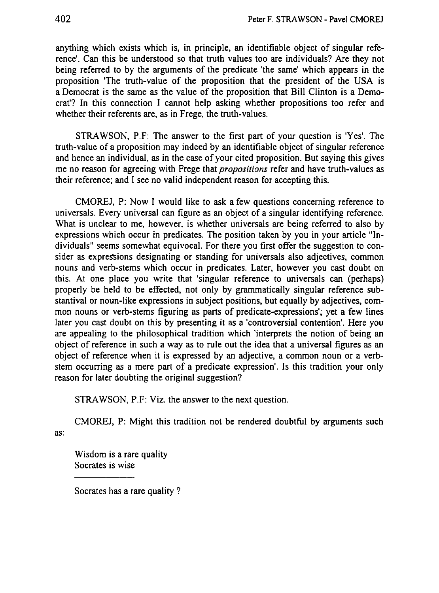**anything** which exists which is, in principle, an identifiable object of singular refe**rence'.** Can this be understood so that truth values too are individuals? Are they not **being referred to by the arguments o f the predicate 'the same' which appears in the proposition** 'The **truth-value** of the proposition that the president of the USA is **a Democrat is the same as the value o f the proposition that Bill Clinton is a Democrat'? In this connection I cannot help asking whether propositions too refer and whether their referents are, as in Frege, the truth-values.**

**STRAWSON, P.F:** The answer to the first part of your question is 'Yes'. The **truth-value** of a proposition may indeed by an identifiable object of singular reference **and hence an individual, as in the caseo f your cited proposition. But saying this gives m e n o reason for agreeing with Frege that** *propositions* **refer and have truth-values as their reference;** and I see no valid independent reason for accepting this.

**CMOREJ, P: Now I would like to ask a few questions concerning reference to universals. Every universal can figure as an object o f a singular identifying reference. What is unclear to me, however, is whether universals are being referred t o also by expressions which occur in predicates. The position taken by you in your article "Individuals" seems somewhat equivocal. For there you first offer the suggestion to consider as expressions designating or standing for universals also adjectives, common nouns and verb-stems which occur in predicates. Later, however you cast doubt o n this. At one place you write that 'singular reference to universals can (perhaps) properly be held to be effected, not only by grammatically singular reference substantival or noun-like expressions in subject positions, but equally by adjectives, common nouns or verb-stems figuring as parts o f predicate-expressions'; yet a few lines later you cast doubt o n this by presenting it as a 'controversial contention'. Here you are appealing to the philosophical tradition which 'interprets the notion o f being an object** of reference in such a way as to rule out the idea that a universal figures as an **object** of **reference** when it is expressed by an adjective, a common noun or a verb**stem occurring as a mere part o f a predicate expression'. Is this tradition your only reason for later doubting the original suggestion?**

**STRAWSON, P.F: Viz. the answer to the next question.**

**CMOREJ, P: Might this tradition not b e rendered doubtful by arguments such as:** 

**Wisdom is a rare quality Socrates is wise**

**Socrates has a rare quality ?**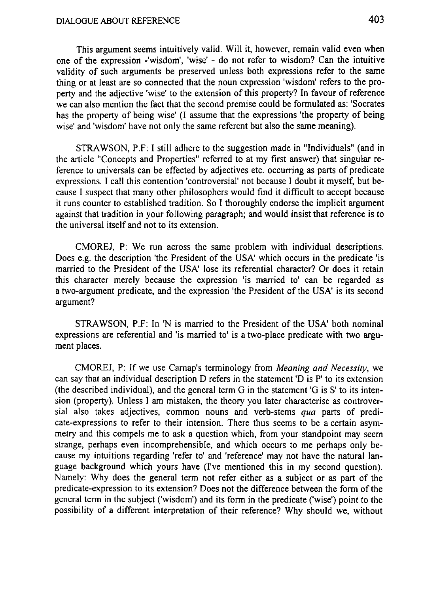**This argument seems intuitively valid. Will it, however, remain valid even when one** of the expression **-'wisdom', 'wise'** - do not refer to wisdom? Can the intuitive **validity** of such arguments be preserved unless both expressions refer to the same **thing or at least are s o connected that the noun expression 'wisdom' refers to the property** and the adjective 'wise' to the extension of this property? In favour of reference **w e can also mention the fact that the second premise could be formulated as: 'Socrates has the property o f being wise' (I assume that the expressions 'the property o f being wise' and 'wisdom' have not only the same referent but also the same meaning).**

**STRAWSON, P.F: I still adhere to the suggestion made in "Individuals" (and in the article "Concepts and Properties" referred to at m y first answer) that singular reference to universals can be effected by adjectives etc. occurring as parts o f predicate expressions. I call this contention 'controversial' not because I doubt it myself, but because I suspect that many other philosophers would find it difficult to accept because it runs counter to established tradition. S o I thoroughly endorse the implicit argument against that tradition in your following paragraph; and would insist that reference is to the universal itself and not to its extension.**

**CMOREJ, P: W e run across the same problem with individual descriptions. Does e.g. the description 'the President o f the USA' which occurs in the predicate 'is married to the President o f the USA' lose its referential character? Or does it retain this character merely because the expression 'is married to' can be regarded as a two-argument predicate, and the expression 'the President o f the USA' is its second argument?** 

**STRAWSON, P.F: In 'N is married to the President o f the USA' both nominal expressions are referential and 'is married to' is a two-place predicate with two argument places.**

**CMOREJ, P:** If we use Carnap's terminology from *Meaning and Necessity*, we **can say that an individual description D refers in the statement 'D is P' to its extension (the described individual), and the general term G in the statement 'G is S' to its intension (property). Unless I am mistaken, the theory you later characterise as controver**sial also takes adjectives, common nouns and verb-stems qua parts of predi**cate-expressions to refer to their intension. There thus seems to be a certain asymmetry and this compels m e to ask a question which, from your standpoint may seem strange, perhaps even incomprehensible, and which occurs to m e perhaps only be**cause my intuitions regarding 'refer to' and 'reference' may not have the natural lan**guage background which yours have (I've mentioned this in m y second question). Namely: Why does the general term not refer either as a subject or as part o f the predicate-expression to its extension? Does not the difference between the formo f the general term in the subject ('wisdom') and its form in the predicate ('wise') point to the possibility o f a different interpretation o f their reference? Why should we, without**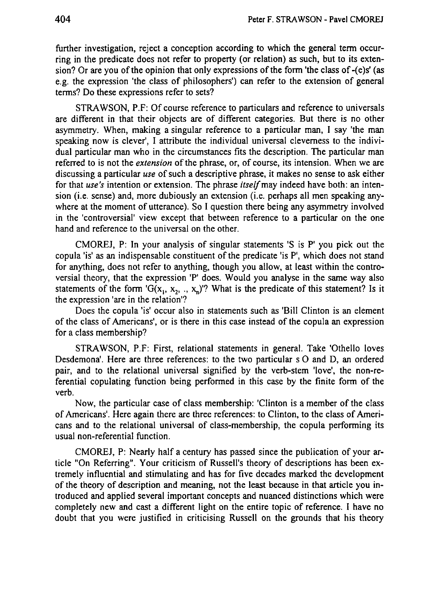further investigation, reject a conception according to which the general term occur**ring in the predicate does not refer to property (or relation) as such, but to its extension? Or are you o f the opinion that only expressions o f the form 'the class o f -(e)s' (as e.g. the expression 'the class o f philosophers') can refer to the extension o f general terms?D o these expressions refer to sets?**

**STRAWSON, P.F: O f course reference to particulars and reference to universals are different in that their objects are o f different categories. But there is no other asymmetry. When, making a singular reference to a particular man, I say 'the man speaking now is clever<sup>1</sup> , I attribute the individual universal cleverness to the individual particular man who in the circumstances fits the description. The particular man referred to is not the** *extension* **o f the phrase, or, o f course, its intension. When w e are discussing a particular** *use* **o f such a descriptive phrase, it makes n o sense to ask either for that** *use's* **intention or extension. The phrase** *itself* **may indeed have both: an intension (i.e. sense) and, more dubiously an extension (i.e. perhaps all men speaking anywhere at the moment o f utterance). S o I question there being any asymmetry involved in the 'controversial' view except that between reference to a particular o n the one hand and reference to the universal on the other.**

**CMOREJ, P:** In your analysis of singular statements 'S is P' you pick out the **copula 'is' as an indispensable constituent o f the predicate 'is P', which does not stand for anything, does not refer to anything, though you allow, at least within the controversial theory, that the expression 'P' does. Would you analyse in the same way also statements** of the form  $G(x_1, x_2, x_3, x_4)$ ? What is the predicate of this statement? Is it **the expression 'are in the relation'?**

**Does the copula 'is' occur also in statements such as 'Bill Clinton is an element o f the class o f Americans', or is there in this case instead o f the copula an expression for a class membership?**

**STRAWSON, P.F: First, relational statements in general. Take 'Othello loves Desdemona'. Here are three references: to the two particular s O and D , an ordered pair, and to the relational universal signified by the verb-stem 'love', the non-referential copulating function being performed in this case by the finite form o f the verb.** 

Now, the particular case of class membership: 'Clinton is a member of the class **o f Americans'. Here again there are three references: t o Clinton, to the class o f Americans** and to the relational universal of class-membership, the copula performing its **usual non-referential function.**

**CMOREJ, P:** Nearly half a century has passed since the publication of your ar**ticle** "On Referring". Your criticism of Russell's theory of descriptions has been ex**tremely influential and stimulating and has for five decades marked the development o f the theory o f description and meaning, not the least because in that article you introduced and applied several important concepts and nuanced distinctions which were completely new and cast a different light o n the entire topic o f reference. I have n o doubt that you were justified in criticising Russell o n the grounds that his theory**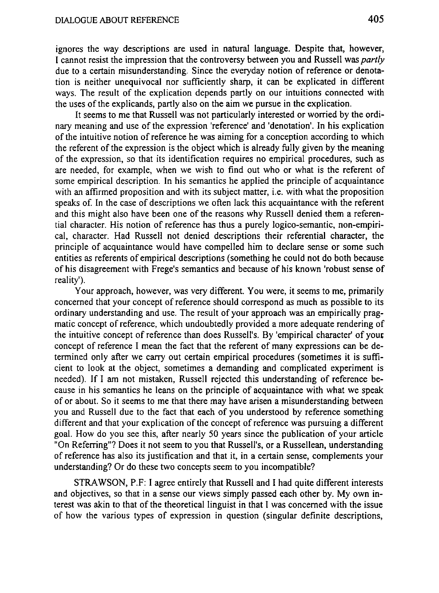ignores the way descriptions are used in natural language. Despite that, however, I cannot resist the impression that the controversy between you and Russell was *partly* due to a certain misunderstanding. Since the everyday notion of reference or denotation is neither unequivocal nor sufficiently sharp, it can be explicated in different ways. The result of the explication depends partly on our intuitions connected with the uses of the explicands, partly also on the aim we pursue in the explication.

It seems to me that Russell was not particularly interested or worried by the ordinary meaning and use of the expression 'reference' and 'denotation'. In his explication of the intuitive notion of reference he was aiming for a conception according to which the referent of the expression is the object which is already fully given by the meaning of the expression, so that its identification requires no empirical procedures, such as are needed, for example, when we wish to find out who or what is the referent of some empirical description. In his semantics he applied the principle of acquaintance with an affirmed proposition and with its subject matter, *i.e.* with what the proposition speaks of. In the case of descriptions we often lack this acquaintance with the referent and this might also have been one of the reasons why Russell denied them a referential character. His notion of reference has thus a purely logico-semantic, non-empirical, character. Had Russell not denied descriptions their referential character, the principle of acquaintance would have compened him to declare sense of some such entities as referents of empirical descriptions (something he could not do both because of his disagreement with Frege's semantics and because of his known 'robust sense of reality').

Your approach, however, was very different. You were, it seems to me, primarily concerned that your concept of reference should correspond as much as possible to its ordinary understanding and use. The result of your approach was an empirically pragmatic concept of reference, which undoubtedly provided a more adequate rendering of the intuitive concept of reference than does Russell's. By 'empirical character' of your concept of reference I mean the fact that the referent of many expressions can be determined only after we carry out certain empirical procedures (sometimes it is sufficient to look at the object, sometimes a demanding and complicated experiment is needed). If I am not mistaken, Russell rejected this understanding of reference because in his semantics he leans on the principle of acquaintance with what we speak of or about. So it seems to me that there may have arisen a misunderstanding between you and Russell due to the fact that each of you understood by reference something different and that your explication of the concept of reference was pursuing a different goal. How do you see this, after nearly 50 years since the publication of your article "On Referring"? Does it not seem to you that Russell's, or a Russellean, understanding of reference has also its justification and that it, in a certain sense, complements your understanding? Or do these two concepts seem to you incompatible?

STRAWSON, P.F: I agree entirely that Russell and I had quite different interests and objectives, so that in a sense our views simply passed each other by. My own interest was akin to that of the theoretical linguist in that I was concerned with the issue of how the various types of expression in question (singular definite descriptions,